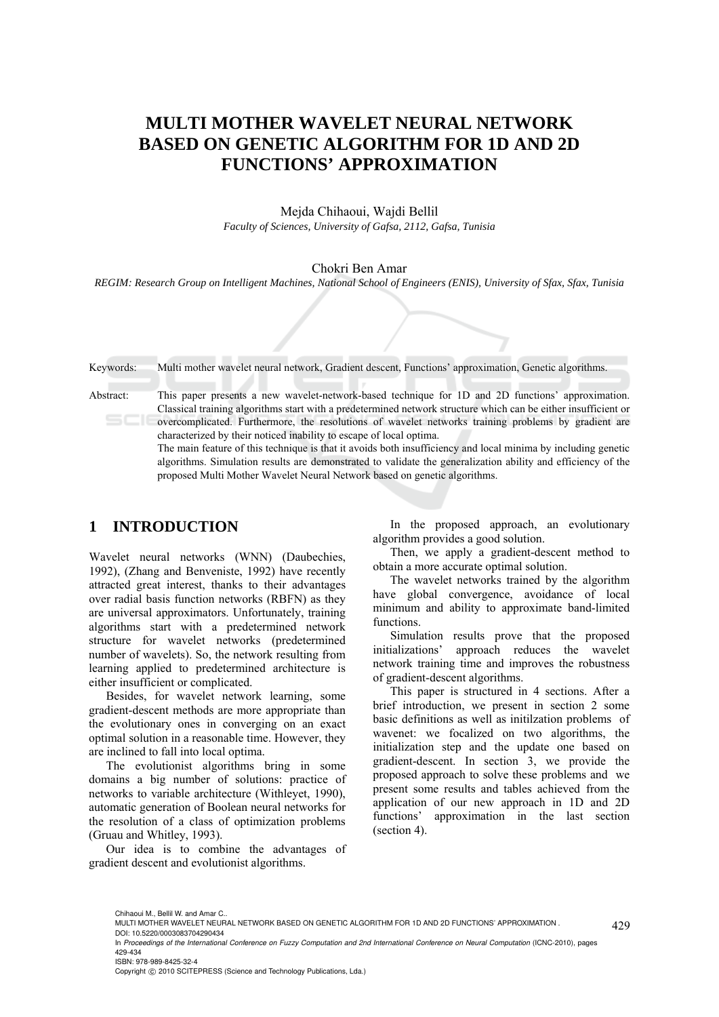# **MULTI MOTHER WAVELET NEURAL NETWORK BASED ON GENETIC ALGORITHM FOR 1D AND 2D FUNCTIONS' APPROXIMATION**

Mejda Chihaoui, Wajdi Bellil *Faculty of Sciences, University of Gafsa, 2112, Gafsa, Tunisia* 

### Chokri Ben Amar

*REGIM: Research Group on Intelligent Machines, National School of Engineers (ENIS), University of Sfax, Sfax, Tunisia* 

| Keywords: | Multi mother wavelet neural network, Gradient descent, Functions' approximation, Genetic algorithms.                                                                                                                                                                                                                                                                                                                                                                                                                                                                                                                                                                                                            |
|-----------|-----------------------------------------------------------------------------------------------------------------------------------------------------------------------------------------------------------------------------------------------------------------------------------------------------------------------------------------------------------------------------------------------------------------------------------------------------------------------------------------------------------------------------------------------------------------------------------------------------------------------------------------------------------------------------------------------------------------|
| Abstract: | This paper presents a new wavelet-network-based technique for 1D and 2D functions' approximation.<br>Classical training algorithms start with a predetermined network structure which can be either insufficient or<br>overcomplicated. Furthermore, the resolutions of wavelet networks training problems by gradient are<br>characterized by their noticed inability to escape of local optima.<br>The main feature of this technique is that it avoids both insufficiency and local minima by including genetic<br>algorithms. Simulation results are demonstrated to validate the generalization ability and efficiency of the<br>proposed Multi Mother Wavelet Neural Network based on genetic algorithms. |

## **1 INTRODUCTION**

Wavelet neural networks (WNN) (Daubechies, 1992), (Zhang and Benveniste, 1992) have recently attracted great interest, thanks to their advantages over radial basis function networks (RBFN) as they are universal approximators. Unfortunately, training algorithms start with a predetermined network structure for wavelet networks (predetermined number of wavelets). So, the network resulting from learning applied to predetermined architecture is either insufficient or complicated.

Besides, for wavelet network learning, some gradient-descent methods are more appropriate than the evolutionary ones in converging on an exact optimal solution in a reasonable time. However, they are inclined to fall into local optima.

The evolutionist algorithms bring in some domains a big number of solutions: practice of networks to variable architecture (Withleyet, 1990), automatic generation of Boolean neural networks for the resolution of a class of optimization problems (Gruau and Whitley, 1993).

Our idea is to combine the advantages of gradient descent and evolutionist algorithms.

In the proposed approach, an evolutionary algorithm provides a good solution.

Then, we apply a gradient-descent method to obtain a more accurate optimal solution.

The wavelet networks trained by the algorithm have global convergence, avoidance of local minimum and ability to approximate band-limited functions.

Simulation results prove that the proposed initializations' approach reduces the wavelet network training time and improves the robustness of gradient-descent algorithms.

This paper is structured in 4 sections. After a brief introduction, we present in section 2 some basic definitions as well as initilzation problems of wavenet: we focalized on two algorithms, the initialization step and the update one based on gradient-descent. In section 3, we provide the proposed approach to solve these problems and we present some results and tables achieved from the application of our new approach in 1D and 2D functions' approximation in the last section (section 4).

ISBN: 978-989-8425-32-4

Copyright © 2010 SCITEPRESS (Science and Technology Publications, Lda.)

Chihaoui M., Bellil W. and Amar C.

MULTI MOTHER WAVELET NEURAL NETWORK BASED ON GENETIC ALGORITHM FOR 1D AND 2D FUNCTIONS' APPROXIMATION .

DOI: 10.5220/0003083704290434

In *Proceedings of the International Conference on Fuzzy Computation and 2nd International Conference on Neural Computation* (ICNC-2010), pages 429-434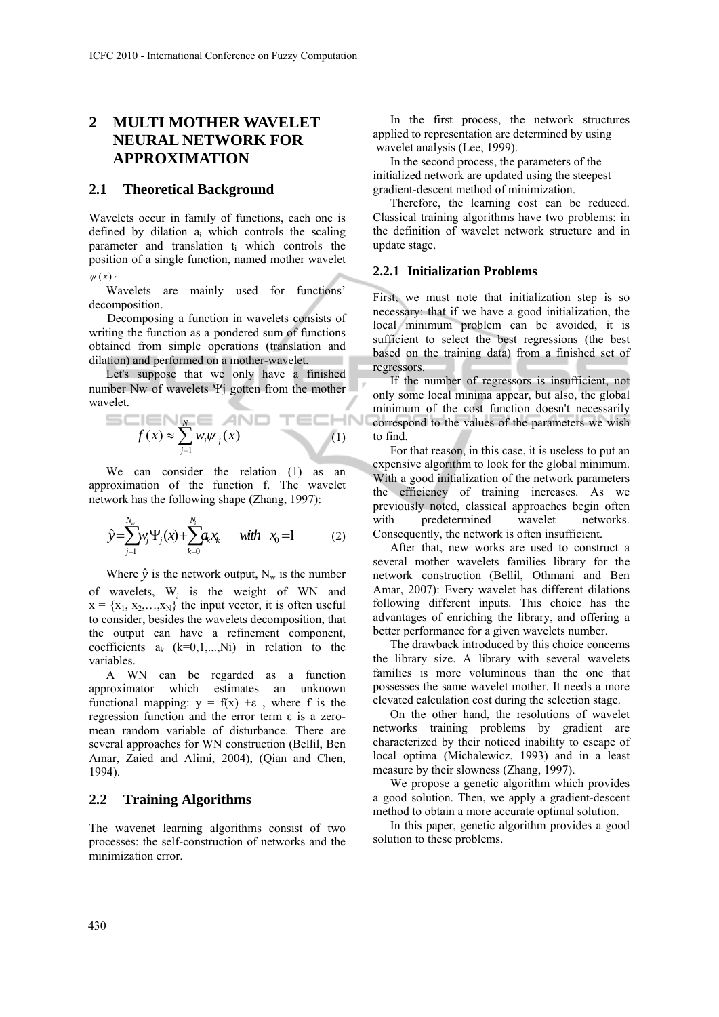## **2 MULTI MOTHER WAVELET NEURAL NETWORK FOR APPROXIMATION**

## **2.1 Theoretical Background**

Wavelets occur in family of functions, each one is defined by dilation  $a_i$  which controls the scaling parameter and translation ti which controls the position of a single function, named mother wavelet  $\psi(x)$ .

Wavelets are mainly used for functions' decomposition.

Decomposing a function in wavelets consists of writing the function as a pondered sum of functions obtained from simple operations (translation and dilation) and performed on a mother-wavelet.

Let's suppose that we only have a finished number Nw of wavelets Ψj gotten from the mother wavelet.

$$
f(x) \approx \sum_{j=1}^{N} w_j \psi_j(x) \qquad (1)
$$

We can consider the relation (1) as an approximation of the function f. The wavelet network has the following shape (Zhang, 1997):

$$
\hat{y} = \sum_{j=1}^{N_w} w_j \Psi_j(x) + \sum_{k=0}^{N_i} a_k x_k \quad \text{with} \quad x_0 = 1 \tag{2}
$$

Where  $\hat{y}$  is the network output, N<sub>w</sub> is the number of wavelets,  $W_i$  is the weight of WN and  $x = {x_1, x_2,...,x_N}$  the input vector, it is often useful to consider, besides the wavelets decomposition, that the output can have a refinement component, coefficients  $a_k$  (k=0,1,...,Ni) in relation to the variables.

A WN can be regarded as a function approximator which estimates an unknown functional mapping:  $y = f(x) + \varepsilon$ , where f is the regression function and the error term ε is a zeromean random variable of disturbance. There are several approaches for WN construction (Bellil, Ben Amar, Zaied and Alimi, 2004), (Qian and Chen, 1994).

## **2.2 Training Algorithms**

The wavenet learning algorithms consist of two processes: the self-construction of networks and the minimization error.

In the first process, the network structures applied to representation are determined by using wavelet analysis (Lee, 1999).

In the second process, the parameters of the initialized network are updated using the steepest gradient-descent method of minimization.

Therefore, the learning cost can be reduced. Classical training algorithms have two problems: in the definition of wavelet network structure and in update stage.

## **2.2.1 Initialization Problems**

First, we must note that initialization step is so necessary: that if we have a good initialization, the local minimum problem can be avoided, it is sufficient to select the best regressions (the best based on the training data) from a finished set of regressors.

If the number of regressors is insufficient, not only some local minima appear, but also, the global minimum of the cost function doesn't necessarily correspond to the values of the parameters we wish to find.

For that reason, in this case, it is useless to put an expensive algorithm to look for the global minimum. With a good initialization of the network parameters the efficiency of training increases. As we previously noted, classical approaches begin often with predetermined wavelet networks. Consequently, the network is often insufficient.

After that, new works are used to construct a several mother wavelets families library for the network construction (Bellil, Othmani and Ben Amar, 2007): Every wavelet has different dilations following different inputs. This choice has the advantages of enriching the library, and offering a better performance for a given wavelets number.

The drawback introduced by this choice concerns the library size. A library with several wavelets families is more voluminous than the one that possesses the same wavelet mother. It needs a more elevated calculation cost during the selection stage.

On the other hand, the resolutions of wavelet networks training problems by gradient are characterized by their noticed inability to escape of local optima (Michalewicz, 1993) and in a least measure by their slowness (Zhang, 1997).

We propose a genetic algorithm which provides a good solution. Then, we apply a gradient-descent method to obtain a more accurate optimal solution.

In this paper, genetic algorithm provides a good solution to these problems.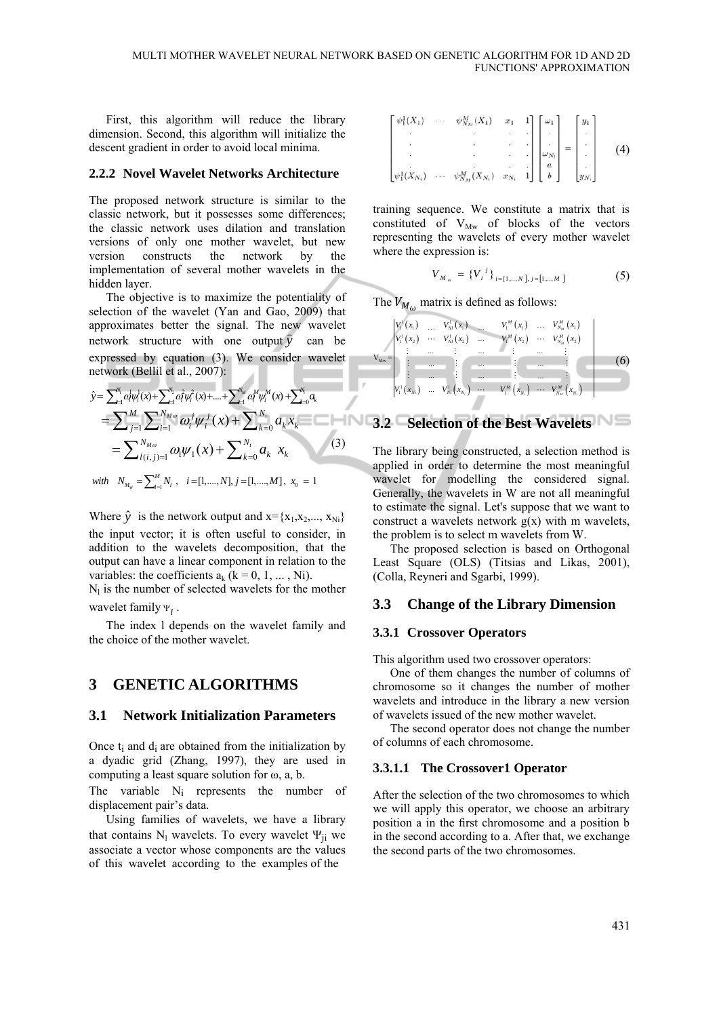First, this algorithm will reduce the library dimension. Second, this algorithm will initialize the descent gradient in order to avoid local minima.

### **2.2.2 Novel Wavelet Networks Architecture**

The proposed network structure is similar to the classic network, but it possesses some differences; the classic network uses dilation and translation versions of only one mother wavelet, but new version constructs the network by the implementation of several mother wavelets in the hidden layer.

The objective is to maximize the potentiality of selection of the wavelet (Yan and Gao, 2009) that approximates better the signal. The new wavelet approximates better the signal. The new wavelet network structure with one output  $\hat{y}$  can be expressed by equation (3). We consider wavelet network (Bellil et al., 2007):

$$
\hat{y} = \sum_{i=1}^{N_i} \alpha_i^j \psi_i^1(x) + \sum_{i=1}^{N_2} \alpha_i^j \psi_i^2(x) + \dots + \sum_{i=1}^{N_M} \alpha_i^M \psi_i^M(x) + \sum_{k=0}^{N_i} \alpha_k
$$
\n
$$
= \sum_{j=1}^{M} \sum_{i=1}^{N_{M\omega}} \omega_i^j \psi_i^j(x) + \sum_{k=0}^{N_i} \alpha_k x_k
$$
\n
$$
= \sum_{l(i,j)=1}^{N_{M\omega}} \omega_l \psi_1(x) + \sum_{k=0}^{N_i} \alpha_k x_k
$$
\nwith  $N_{M_w} = \sum_{i=1}^{M} N_i$ ,  $i = [1, \dots, N]$ ,  $j = [1, \dots, M]$ ,  $x_0 = 1$ 

Where  $\hat{y}$  is the network output and  $x = \{x_1, x_2, ..., x_N\}$ the input vector; it is often useful to consider, in addition to the wavelets decomposition, that the output can have a linear component in relation to the variables: the coefficients  $a_k$  ( $k = 0, 1, ..., Ni$ ).

 $N<sub>l</sub>$  is the number of selected wavelets for the mother wavelet family Ψ<sub>1</sub>.

The index l depends on the wavelet family and the choice of the mother wavelet.

## **3 GENETIC ALGORITHMS**

### **3.1 Network Initialization Parameters**

Once  $t_i$  and  $d_i$  are obtained from the initialization by a dyadic grid (Zhang, 1997), they are used in computing a least square solution for ω, a, b.

The variable N<sub>i</sub> represents the number of displacement pair's data.

Using families of wavelets, we have a library that contains  $N_1$  wavelets. To every wavelet  $\Psi_{ii}$  we associate a vector whose components are the values of this wavelet according to the examples of the

$$
\begin{bmatrix}\n\psi_1^1(X_1) & \cdots & \psi_{N_M}^M(X_1) & x_1 & 1 \\
\vdots & \vdots & \ddots & \vdots \\
\psi_1^1(X_{N_i}) & \cdots & \psi_{N_M}^M(X_{N_i}) & x_{N_i} & 1\n\end{bmatrix}\n\begin{bmatrix}\n\omega_1 \\
\vdots \\
\omega_{N_i} \\
a \\
b\n\end{bmatrix} =\n\begin{bmatrix}\ny_1 \\
\vdots \\
y_n \\
y_{N_i}\n\end{bmatrix}
$$
\n(4)

training sequence. We constitute a matrix that is constituted of  $V_{Mw}$  of blocks of the vectors representing the wavelets of every mother wavelet where the expression is:

$$
V_{M_{\omega}} = \{V_i^j\}_{i=[1,..,N]}, i=[1,..,M] \tag{5}
$$

The  $V_{M_{\omega}}$  matrix is defined as follows:

$$
\mathbf{V}_{\mathbf{M}v} = \begin{bmatrix} V_1^1(x_1) & \dots & V_N^1(x_1) & \dots & V_1^M(x_1) & \dots & V_{N_M}^M(x_1) \\ V_1^1(x_2) & \cdots & V_N^1(x_2) & \cdots & V_1^M(x_2) & \cdots & V_{N_M}^M(x_2) \\ \vdots & \dots & \vdots & \dots & \vdots & \dots & \vdots \\ \vdots & \dots & \vdots & \dots & \vdots & \dots & \vdots \\ \vdots & \dots & \dots & \vdots & \dots & \dots & \vdots \\ V_1^1(x_{N_1}) & \dots & V_N^1(x_{N_1}) & \cdots & V_1^M(x_{N_1}) & \cdots & V_{N_M}^M(x_{N_1}) \end{bmatrix}
$$
 (6)

## **3.2 Selection of the Best Wavelets**

The library being constructed, a selection method is applied in order to determine the most meaningful wavelet for modelling the considered signal. Generally, the wavelets in W are not all meaningful to estimate the signal. Let's suppose that we want to construct a wavelets network  $g(x)$  with m wavelets, the problem is to select m wavelets from W.

The proposed selection is based on Orthogonal Least Square (OLS) (Titsias and Likas, 2001), (Colla, Reyneri and Sgarbi, 1999).

## **3.3 Change of the Library Dimension**

### **3.3.1 Crossover Operators**

This algorithm used two crossover operators:

One of them changes the number of columns of chromosome so it changes the number of mother wavelets and introduce in the library a new version of wavelets issued of the new mother wavelet.

The second operator does not change the number of columns of each chromosome.

#### **3.3.1.1 The Crossover1 Operator**

After the selection of the two chromosomes to which we will apply this operator, we choose an arbitrary position a in the first chromosome and a position b in the second according to a. After that, we exchange the second parts of the two chromosomes.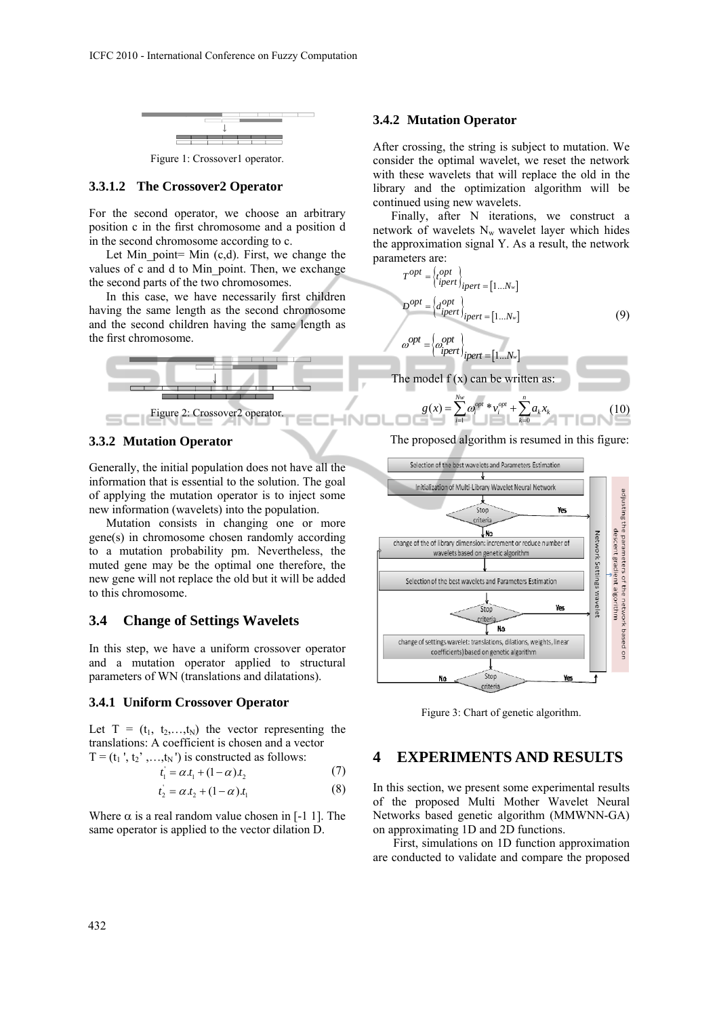

Figure 1: Crossover1 operator.

## **3.3.1.2 The Crossover2 Operator**

For the second operator, we choose an arbitrary position c in the first chromosome and a position d in the second chromosome according to c.

Let Min point= Min  $(c,d)$ . First, we change the values of c and d to Min point. Then, we exchange the second parts of the two chromosomes.

In this case, we have necessarily first children having the same length as the second chromosome and the second children having the same length as the first chromosome.



## **3.3.2 Mutation Operator**

Generally, the initial population does not have all the information that is essential to the solution. The goal of applying the mutation operator is to inject some new information (wavelets) into the population.

Mutation consists in changing one or more gene(s) in chromosome chosen randomly according to a mutation probability pm. Nevertheless, the muted gene may be the optimal one therefore, the new gene will not replace the old but it will be added to this chromosome.

## **3.4 Change of Settings Wavelets**

In this step, we have a uniform crossover operator and a mutation operator applied to structural parameters of WN (translations and dilatations).

### **3.4.1 Uniform Crossover Operator**

Let  $T = (t_1, t_2, \ldots, t_N)$  the vector representing the translations: A coefficient is chosen and a vector  $T = (t_1', t_2', ..., t_N')$  is constructed as follows:

$$
t_1 = \alpha t_1 + (1 - \alpha) t_2 \tag{7}
$$

$$
t_2 = \alpha \, t_2 + (1 - \alpha) \, t_1 \tag{8}
$$

Where  $\alpha$  is a real random value chosen in [-1 1]. The same operator is applied to the vector dilation D.

## **3.4.2 Mutation Operator**

After crossing, the string is subject to mutation. We consider the optimal wavelet, we reset the network with these wavelets that will replace the old in the library and the optimization algorithm will be continued using new wavelets.

Finally, after N iterations, we construct a network of wavelets  $N_w$  wavelet layer which hides the approximation signal Y. As a result, the network parameters are:

$$
T^{opt} = \begin{cases} \{cpt} \\ \{ipert}\end{cases} \bigg|_{ipert} = [1...N_w]
$$
  

$$
D^{opt} = \begin{cases} \{cpt} \\ \{ipert}\end{cases} \bigg|_{ipert} = [1...N_w]
$$
 (9)

$$
\omega^{opt} = \left\{\omega_{ipert}^{opt}\right\}_{ipert} = [1...N_w]
$$

The model  $f(x)$  can be written as:

$$
g(x) = \sum_{i=1}^{N_w} \omega_i^{opt} * v_i^{opt} + \sum_{k=0}^{n} a_k x_k
$$
 (10)

The proposed algorithm is resumed in this figure:



Figure 3: Chart of genetic algorithm.

## **4 EXPERIMENTS AND RESULTS**

In this section, we present some experimental results of the proposed Multi Mother Wavelet Neural Networks based genetic algorithm (MMWNN-GA) on approximating 1D and 2D functions.

 First, simulations on 1D function approximation are conducted to validate and compare the proposed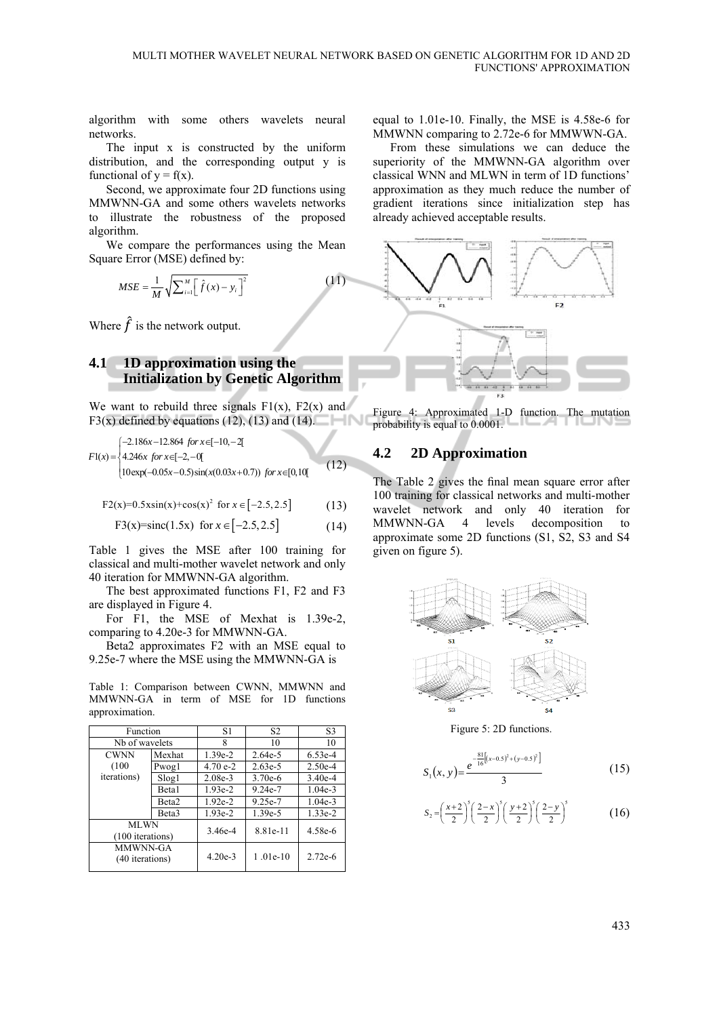algorithm with some others wavelets neural networks.

The input x is constructed by the uniform distribution, and the corresponding output y is functional of  $y = f(x)$ .

Second, we approximate four 2D functions using MMWNN-GA and some others wavelets networks to illustrate the robustness of the proposed algorithm.

We compare the performances using the Mean Square Error (MSE) defined by:

$$
MSE = \frac{1}{M} \sqrt{\sum_{i=1}^{M} \left[ \hat{f}(x) - y_i \right]^2}
$$

Where  $\hat{f}$  is the network output.

## **4.1 1D approximation using the Initialization by Genetic Algorithm**

We want to rebuild three signals  $F1(x)$ ,  $F2(x)$  and F3(x) defined by equations (12), (13) and (14).

$$
F1(x) = \begin{cases} -2.186x - 12.864 & \text{for } x \in [-10, -2] \\ 4.246x & \text{for } x \in [-2, -0] \\ 10 \exp(-0.05x - 0.5) \sin(x(0.03x + 0.7)) & \text{for } x \in [0, 10] \end{cases} \tag{12}
$$

 $F2(x)=0.5x\sin(x)+\cos(x)^2$  for  $x \in [-2.5, 2.5]$  (13)

$$
F3(x)=sinc(1.5x) for x \in [-2.5, 2.5]
$$
 (14)

Table 1 gives the MSE after 100 training for classical and multi-mother wavelet network and only 40 iteration for MMWNN-GA algorithm.

The best approximated functions F1, F2 and F3 are displayed in Figure 4.

For F1, the MSE of Mexhat is 1.39e-2, comparing to 4.20e-3 for MMWNN-GA.

Beta2 approximates F2 with an MSE equal to 9.25e-7 where the MSE using the MMWNN-GA is

Table 1: Comparison between CWNN, MMWNN and MMWNN-GA in term of MSE for 1D functions approximation.

| Function                        |                   | S1        | S2         | S3        |
|---------------------------------|-------------------|-----------|------------|-----------|
| Nb of wavelets                  |                   | 8         | 10         | 10        |
| <b>CWNN</b>                     | Mexhat            | $1.39e-2$ | $2.64e-5$  | $6.53e-4$ |
| (100)                           | Pwogl             | $4.70e-2$ | $2.63e-5$  | $2.50e-4$ |
| <i>iterations</i> )             | Slog <sub>1</sub> | $2.08e-3$ | $3.70e-6$  | $3.40e-4$ |
|                                 | Beta1             | $1.93e-2$ | $9.24e-7$  | $1.04e-3$ |
|                                 | Beta <sub>2</sub> | $1.92e-2$ | $9.25e-7$  | $1.04e-3$ |
|                                 | Beta <sub>3</sub> | $1.93e-2$ | 1.39e-5    | $1.33e-2$ |
| <b>MLWN</b><br>(100 iterations) |                   | 3.46e-4   | 8.81e-11   | 4.58e-6   |
| MMWNN-GA<br>(40 iterations)     |                   | $4.20e-3$ | $1.01e-10$ | $2.72e-6$ |

equal to 1.01e-10. Finally, the MSE is 4.58e-6 for MMWNN comparing to 2.72e-6 for MMWWN-GA.

From these simulations we can deduce the superiority of the MMWNN-GA algorithm over classical WNN and MLWN in term of 1D functions' approximation as they much reduce the number of gradient iterations since initialization step has already achieved acceptable results.



Figure 4: Approximated 1-D function. The mutation probability is equal to 0.0001.

## **4.2 2D Approximation**

The Table 2 gives the final mean square error after 100 training for classical networks and multi-mother wavelet network and only 40 iteration for MMWNN-GA 4 levels decomposition to approximate some 2D functions (S1, S2, S3 and S4 given on figure 5).



Figure 5: 2D functions.

$$
S_1(x, y) = \frac{e^{-\frac{81}{16}[(x-0.5)^2 + (y-0.5)^2]}}{3}
$$
 (15)

$$
S_2 = \left(\frac{x+2}{2}\right)^5 \left(\frac{2-x}{2}\right)^5 \left(\frac{y+2}{2}\right)^5 \left(\frac{2-y}{2}\right)^5 \tag{16}
$$